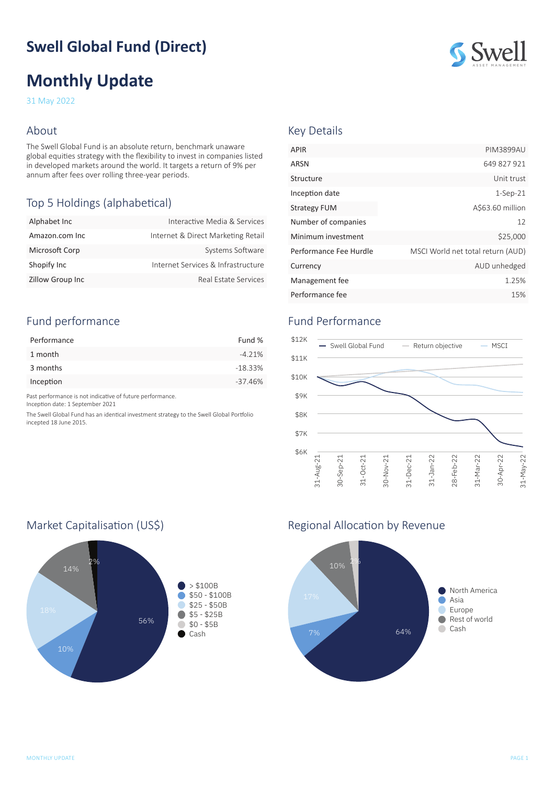# **Swell Global Fund (Direct)**

# **Monthly Update**

31 May 2022

#### About

The Swell Global Fund is an absolute return, benchmark unaware global equities strategy with the flexibility to invest in companies listed in developed markets around the world. It targets a return of 9% per annum after fees over rolling three-year periods.

## Top 5 Holdings (alphabetical)

| Alphabet Inc            | Interactive Media & Services       |
|-------------------------|------------------------------------|
| Amazon.com Inc          | Internet & Direct Marketing Retail |
| Microsoft Corp          | Systems Software                   |
| Shopify Inc             | Internet Services & Infrastructure |
| <b>Zillow Group Inc</b> | Real Estate Services               |

### Fund performance

| Performance | Fund %    |
|-------------|-----------|
| 1 month     | $-4.21%$  |
| 3 months    | $-18.33%$ |
| Inception   | $-37.46%$ |

Past performance is not indicative of future performance.

Inception date: 1 September 2021

The Swell Global Fund has an identical investment strategy to the Swell Global Portfolio incepted 18 June 2015.



#### Key Details

| <b>APIR</b>            | PIM3899AU                         |
|------------------------|-----------------------------------|
| ARSN                   | 649 827 921                       |
| Structure              | Unit trust                        |
| Inception date         | $1-Sep-21$                        |
| <b>Strategy FUM</b>    | A\$63.60 million                  |
| Number of companies    | 12                                |
| Minimum investment     | \$25,000                          |
| Performance Fee Hurdle | MSCI World net total return (AUD) |
| Currency               | AUD unhedged                      |
| Management fee         | 1.25%                             |
| Performance fee        | 15%                               |

### Fund Performance



#### Market Capitalisation (US\$) Market Capitalisation (US\$)



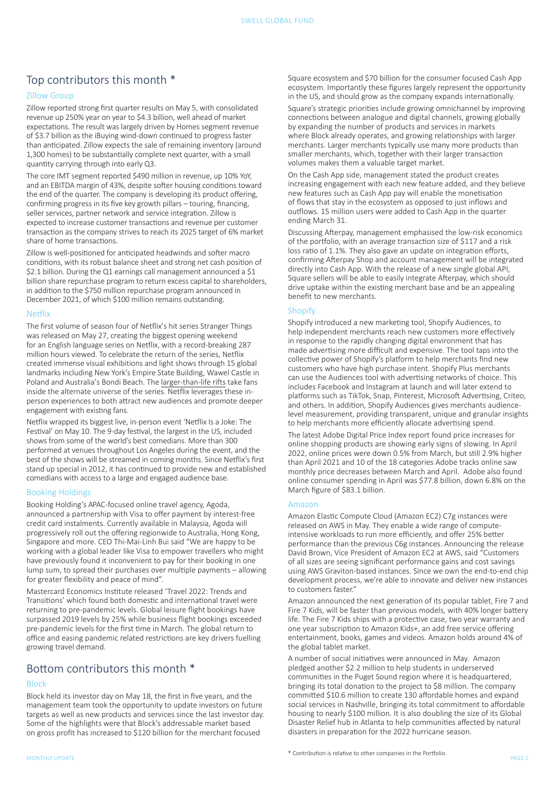### Top contributors this month \*

#### Zillow Group

Zillow reported strong first quarter results on May 5, with consolidated revenue up 250% year on year to \$4.3 billion, well ahead of market expectations. The result was largely driven by Homes segment revenue of \$3.7 billion as the iBuying wind-down continued to progress faster than anticipated. Zillow expects the sale of remaining inventory (around 1,300 homes) to be substantially complete next quarter, with a small quantity carrying through into early Q3.

The core IMT segment reported \$490 million in revenue, up 10% YoY, and an EBITDA margin of 43%, despite softer housing conditions toward the end of the quarter. The company is developing its product offering, confirming progress in its five key growth pillars – touring, financing, seller services, partner network and service integration. Zillow is expected to increase customer transactions and revenue per customer transaction as the company strives to reach its 2025 target of 6% market share of home transactions.

Zillow is well-positioned for anticipated headwinds and softer macro conditions, with its robust balance sheet and strong net cash position of \$2.1 billion. During the Q1 earnings call management announced a \$1 billion share repurchase program to return excess capital to shareholders, in addition to the \$750 million repurchase program announced in December 2021, of which \$100 million remains outstanding.

#### Netflix

The first volume of season four of Netflix's hit series Stranger Things was released on May 27, creating the biggest opening weekend for an English language series on Netflix, with a record-breaking 287 million hours viewed. To celebrate the return of the series, Netflix created immense visual exhibitions and light shows through 15 global landmarks including New York's Empire State Building, Wawel Castle in Poland and Australia's Bondi Beach. The [larger-than-life rifts](https://about.netflix.com/en/news/stranger-things-4-rifts-take-over-global-landmarks) take fans inside the alternate universe of the series. Netflix leverages these inperson experiences to both attract new audiences and promote deeper engagement with existing fans.

Netflix wrapped its biggest live, in-person event 'Netflix Is a Joke: The Festival' on May 10. The 9-day festival, the largest in the US, included shows from some of the world's best comedians. More than 300 performed at venues throughout Los Angeles during the event, and the best of the shows will be streamed in coming months. Since Netflix's first stand up special in 2012, it has continued to provide new and established comedians with access to a large and engaged audience base.

#### Booking Holdings

Booking Holding's APAC-focused online travel agency, Agoda, announced a partnership with Visa to offer payment by interest-free credit card instalments. Currently available in Malaysia, Agoda will progressively roll out the offering regionwide to Australia, Hong Kong, Singapore and more. CEO Thi-Mai-Linh Bui said "We are happy to be working with a global leader like Visa to empower travellers who might have previously found it inconvenient to pay for their booking in one lump sum, to spread their purchases over multiple payments – allowing for greater flexibility and peace of mind".

Mastercard Economics Institute released 'Travel 2022: Trends and Transitions' which found both domestic and international travel were returning to pre-pandemic levels. Global leisure flight bookings have surpassed 2019 levels by 25% while business flight bookings exceeded pre-pandemic levels for the first time in March. The global return to office and easing pandemic related restrictions are key drivers fuelling growing travel demand.

### Bottom contributors this month \*

#### Block

Block held its investor day on May 18, the first in five years, and the management team took the opportunity to update investors on future targets as well as new products and services since the last investor day. Some of the highlights were that Block's addressable market based on gross profit has increased to \$120 billion for the merchant focused

Square's strategic priorities include growing omnichannel by improving connections between analogue and digital channels, growing globally by expanding the number of products and services in markets where Block already operates, and growing relationships with larger merchants. Larger merchants typically use many more products than smaller merchants, which, together with their larger transaction volumes makes them a valuable target market.

On the Cash App side, management stated the product creates increasing engagement with each new feature added, and they believe new features such as Cash App pay will enable the monetisation of flows that stay in the ecosystem as opposed to just inflows and outflows. 15 million users were added to Cash App in the quarter ending March 31.

Discussing Afterpay, management emphasised the low-risk economics of the portfolio, with an average transaction size of \$117 and a risk loss ratio of 1.1%. They also gave an update on integration efforts, confirming Afterpay Shop and account management will be integrated directly into Cash App. With the release of a new single global API, Square sellers will be able to easily integrate Afterpay, which should drive uptake within the existing merchant base and be an appealing benefit to new merchants.

#### **Shopify**

Shopify introduced a new marketing tool, Shopify Audiences, to help independent merchants reach new customers more effectively in response to the rapidly changing digital environment that has made advertising more difficult and expensive. The tool taps into the collective power of Shopify's platform to help merchants find new customers who have high purchase intent. Shopify Plus merchants can use the Audiences tool with advertising networks of choice. This includes Facebook and Instagram at launch and will later extend to platforms such as TikTok, Snap, Pinterest, Microsoft Advertising, Criteo, and others. In addition, Shopify Audiences gives merchants audiencelevel measurement, providing transparent, unique and granular insights to help merchants more efficiently allocate advertising spend.

The latest Adobe Digital Price Index report found price increases for online shopping products are showing early signs of slowing. In April 2022, online prices were down 0.5% from March, but still 2.9% higher than April 2021 and 10 of the 18 categories Adobe tracks online saw monthly price decreases between March and April. Adobe also found online consumer spending in April was \$77.8 billion, down 6.8% on the March figure of \$83.1 billion.

#### Amazon

Amazon Elastic Compute Cloud (Amazon EC2) C7g instances were released on AWS in May. They enable a wide range of computeintensive workloads to run more efficiently, and offer 25% better performance than the previous C6g instances. Announcing the release David Brown, Vice President of Amazon EC2 at AWS, said "Customers of all sizes are seeing significant performance gains and cost savings using AWS Graviton-based instances. Since we own the end-to-end chip development process, we're able to innovate and deliver new instances to customers faster."

Amazon announced the next generation of its popular tablet, Fire 7 and Fire 7 Kids, will be faster than previous models, with 40% longer battery life. The Fire 7 Kids ships with a protective case, two year warranty and one year subscription to Amazon Kids+, an add free service offering entertainment, books, games and videos. Amazon holds around 4% of the global tablet market.

A number of social initiatives were announced in May. Amazon pledged another \$2.2 million to help students in underserved communities in the Puget Sound region where it is headquartered, bringing its total donation to the project to \$8 million. The company committed \$10.6 million to create 130 affordable homes and expand social services in Nashville, bringing its total commitment to affordable housing to nearly \$100 million. It is also doubling the size of its Global Disaster Relief hub in Atlanta to help communities affected by natural disasters in preparation for the 2022 hurricane season.